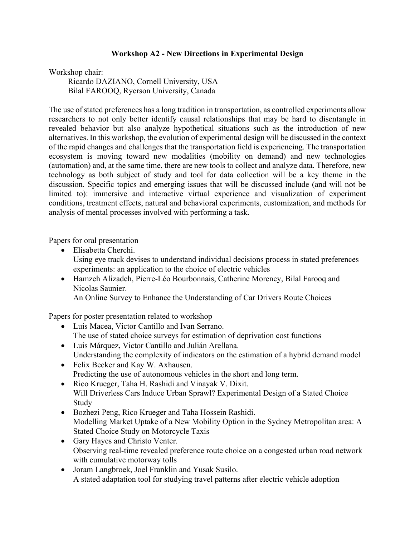## **Workshop A2 - New Directions in Experimental Design**

Workshop chair:

Ricardo DAZIANO, Cornell University, USA Bilal FAROOQ, Ryerson University, Canada

The use of stated preferences has a long tradition in transportation, as controlled experiments allow researchers to not only better identify causal relationships that may be hard to disentangle in revealed behavior but also analyze hypothetical situations such as the introduction of new alternatives. In this workshop, the evolution of experimental design will be discussed in the context of the rapid changes and challenges that the transportation field is experiencing. The transportation ecosystem is moving toward new modalities (mobility on demand) and new technologies (automation) and, at the same time, there are new tools to collect and analyze data. Therefore, new technology as both subject of study and tool for data collection will be a key theme in the discussion. Specific topics and emerging issues that will be discussed include (and will not be limited to): immersive and interactive virtual experience and visualization of experiment conditions, treatment effects, natural and behavioral experiments, customization, and methods for analysis of mental processes involved with performing a task.

Papers for oral presentation

- Elisabetta Cherchi. Using eye track devises to understand individual decisions process in stated preferences experiments: an application to the choice of electric vehicles
- Hamzeh Alizadeh, Pierre-Léo Bourbonnais, Catherine Morency, Bilal Farooq and Nicolas Saunier.

An Online Survey to Enhance the Understanding of Car Drivers Route Choices

Papers for poster presentation related to workshop

- Luis Macea, Victor Cantillo and Ivan Serrano. The use of stated choice surveys for estimation of deprivation cost functions
- Luis Márquez, Victor Cantillo and Julián Arellana. Understanding the complexity of indicators on the estimation of a hybrid demand model
- Felix Becker and Kay W. Axhausen. Predicting the use of autonomous vehicles in the short and long term.
- Rico Krueger, Taha H. Rashidi and Vinayak V. Dixit. Will Driverless Cars Induce Urban Sprawl? Experimental Design of a Stated Choice Study
- Bozhezi Peng, Rico Krueger and Taha Hossein Rashidi. Modelling Market Uptake of a New Mobility Option in the Sydney Metropolitan area: A Stated Choice Study on Motorcycle Taxis
- Gary Hayes and Christo Venter. Observing real-time revealed preference route choice on a congested urban road network with cumulative motorway tolls
- Joram Langbroek, Joel Franklin and Yusak Susilo. A stated adaptation tool for studying travel patterns after electric vehicle adoption